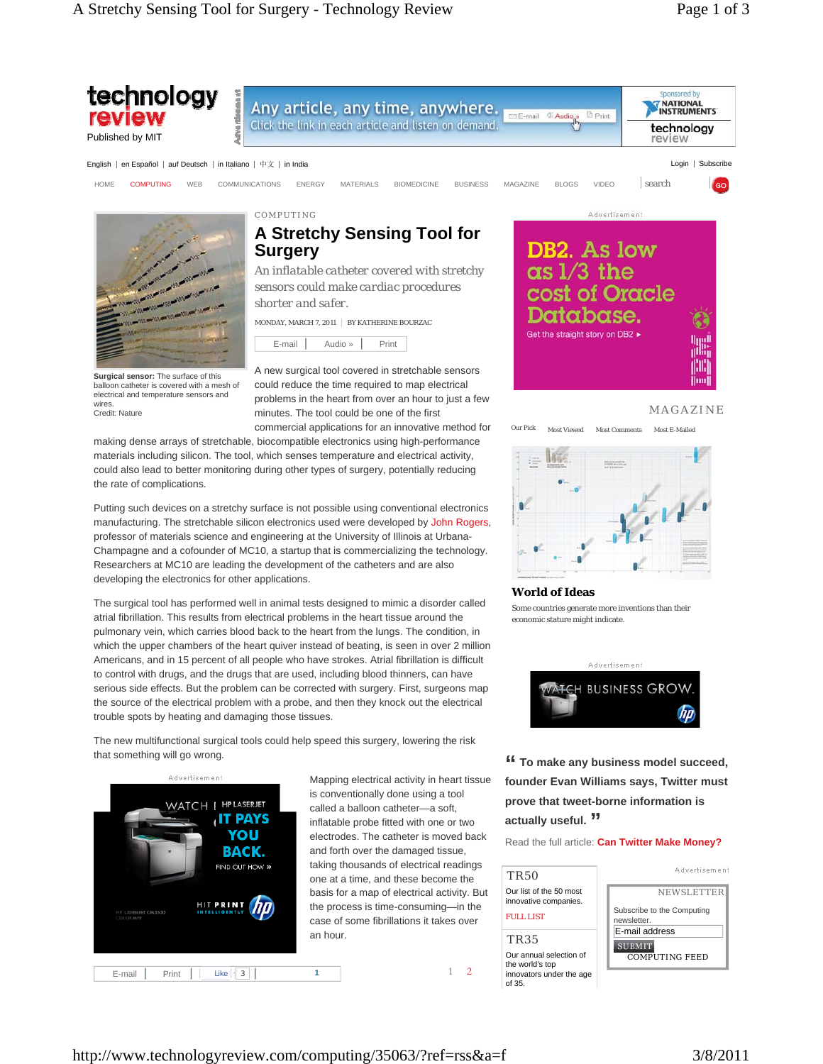

1 2

FULL LIST TR35

of 35.

basis for a map of electrical activity. But the process is time-consuming—in the case of some fibrillations it takes over



http://www.technologyreview.com/computing/35063/?ref=rss&a=f 3/8/2011

E-mail  $\left| \right|$  Print  $\left| \right|$  Like  $\left| \left| \frac{3}{3} \right| \right|$  1

**HIT PRINT** 

an hour.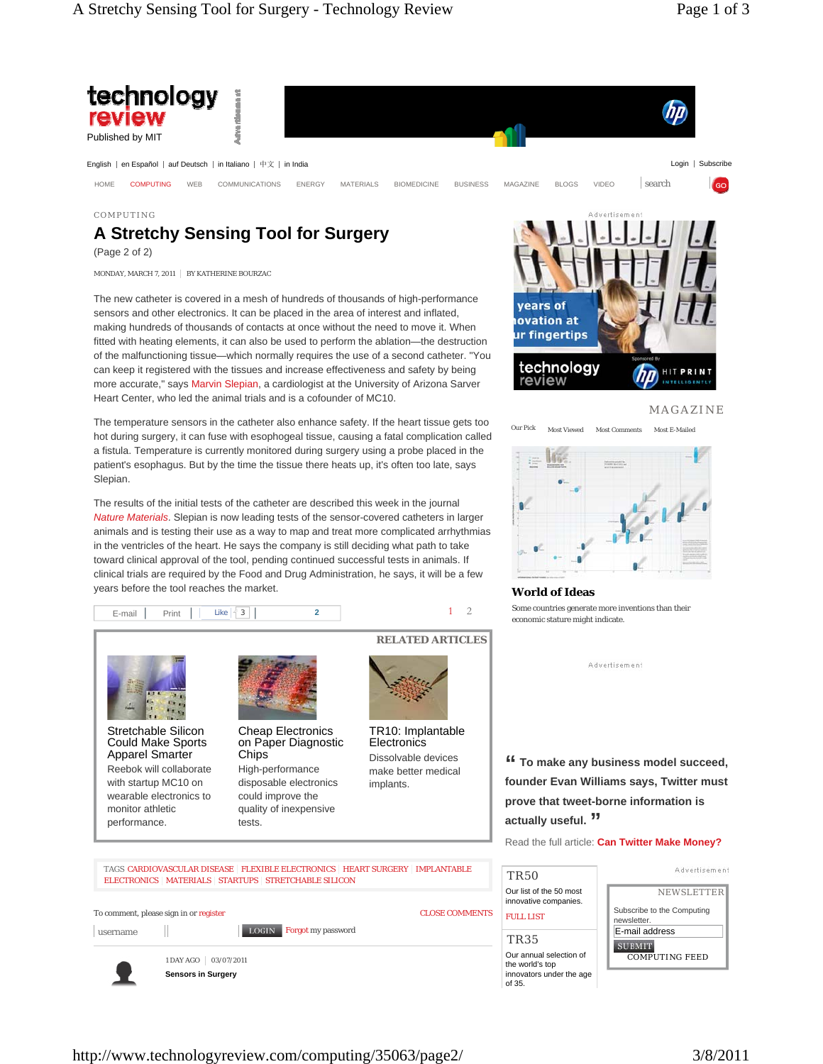

## COMPUTING

## **A Stretchy Sensing Tool for Surgery**

(Page 2 of 2)

MONDAY, MARCH 7, 2011 | BY KATHERINE BOURZAC

The new catheter is covered in a mesh of hundreds of thousands of high-performance sensors and other electronics. It can be placed in the area of interest and inflated, making hundreds of thousands of contacts at once without the need to move it. When fitted with heating elements, it can also be used to perform the ablation—the destruction of the malfunctioning tissue—which normally requires the use of a second catheter. "You can keep it registered with the tissues and increase effectiveness and safety by being more accurate," says Marvin Slepian, a cardiologist at the University of Arizona Sarver Heart Center, who led the animal trials and is a cofounder of MC10.

The temperature sensors in the catheter also enhance safety. If the heart tissue gets too hot during surgery, it can fuse with esophogeal tissue, causing a fatal complication called a fistula. Temperature is currently monitored during surgery using a probe placed in the patient's esophagus. But by the time the tissue there heats up, it's often too late, says Slepian.

The results of the initial tests of the catheter are described this week in the journal *Nature Materials*. Slepian is now leading tests of the sensor-covered catheters in larger animals and is testing their use as a way to map and treat more complicated arrhythmias in the ventricles of the heart. He says the company is still deciding what path to take toward clinical approval of the tool, pending continued successful tests in animals. If clinical trials are required by the Food and Drug Administration, he says, it will be a few years before the tool reaches the market.







MAGAZINE



## **World of Ideas**

TR35

of 35.

Some countries generate more inventions than their economic stature might indicate.

Advertisement

**" To make any business model succeed, founder Evan Williams says, Twitter must prove that tweet-borne information is actually useful. "**

Read the full article: **Can Twitter Make Money?**